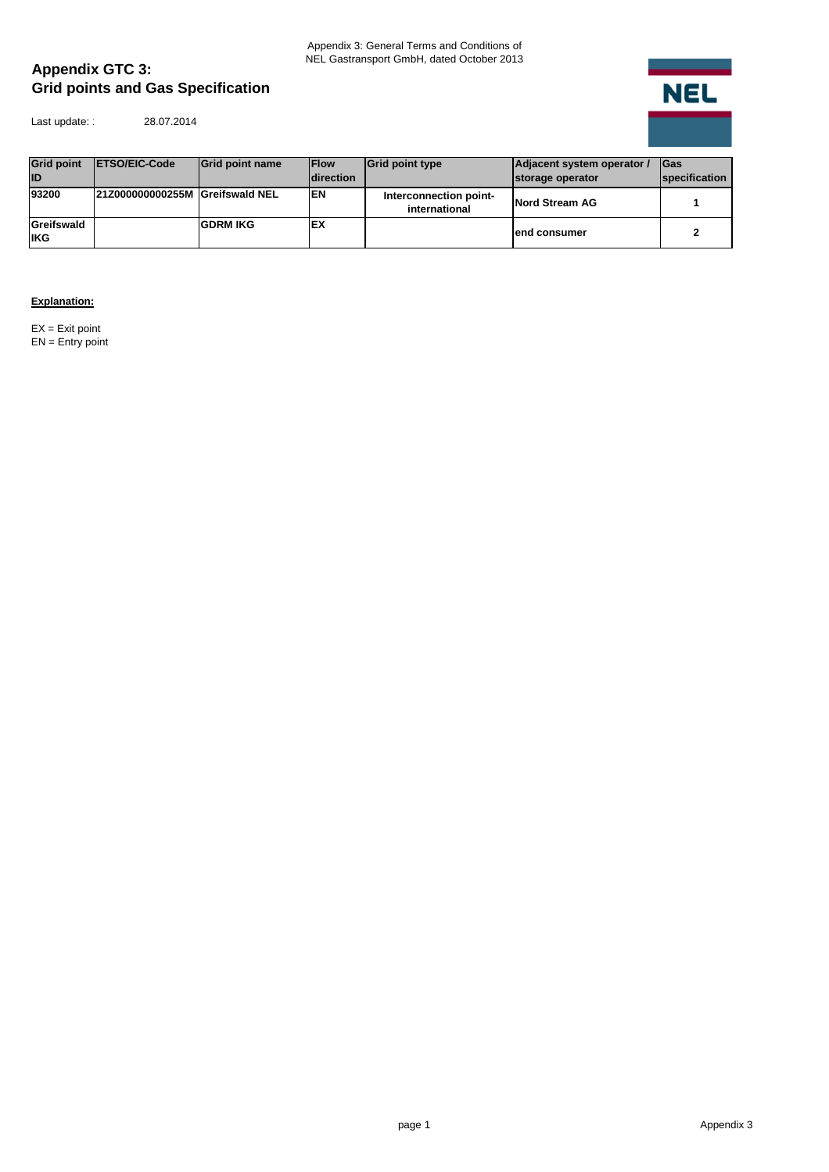## **Appendix GTC 3: Grid points and Gas Specification**

Last update: 28.07.2014

 $\overline{NEL}$ ۰

| <b>Grid point</b><br><b>ID</b> | <b>IETSO/EIC-Code</b>           | <b>Grid point name</b> | <b>IFlow</b><br><b>direction</b> | <b>Grid point type</b>                  | Adjacent system operator /<br>storage operator | <b>IGas</b><br>specification |
|--------------------------------|---------------------------------|------------------------|----------------------------------|-----------------------------------------|------------------------------------------------|------------------------------|
| 93200                          | 21Z000000000255M Greifswald NEL |                        | <b>EN</b>                        | Interconnection point-<br>international | Nord Stream AG                                 |                              |
| Greifswald<br><b>IKG</b>       |                                 | <b>GDRM IKG</b>        | ΙEΧ                              |                                         | lend consumer                                  |                              |

## **Explanation:**

 $EX = Exit$  point EN = Entry point